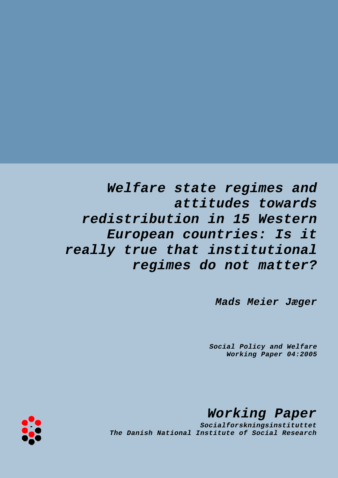*Welfare state regimes and attitudes towards redistribution in 15 Western European countries: Is it really true that institutional regimes do not matter?*

*Mads Meier Jæger*

*Social Policy and Welfare Working Paper 04:2005*

*Working Paper*

*Socialforskningsinstituttet The Danish National Institute of Social Research*

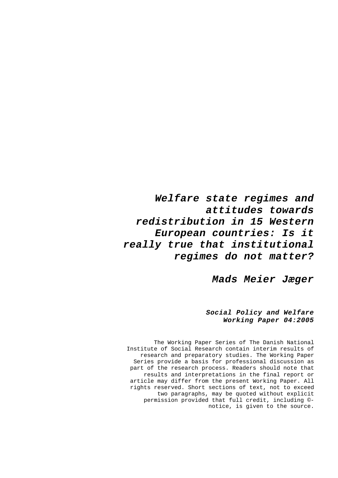*Welfare state regimes and attitudes towards redistribution in 15 Western European countries: Is it really true that institutional regimes do not matter?* 

*Mads Meier Jæger* 

## *Social Policy and Welfare Working Paper 04:2005*

The Working Paper Series of The Danish National Institute of Social Research contain interim results of research and preparatory studies. The Working Paper Series provide a basis for professional discussion as part of the research process. Readers should note that results and interpretations in the final report or article may differ from the present Working Paper. All rights reserved. Short sections of text, not to exceed two paragraphs, may be quoted without explicit permission provided that full credit, including © notice, is given to the source.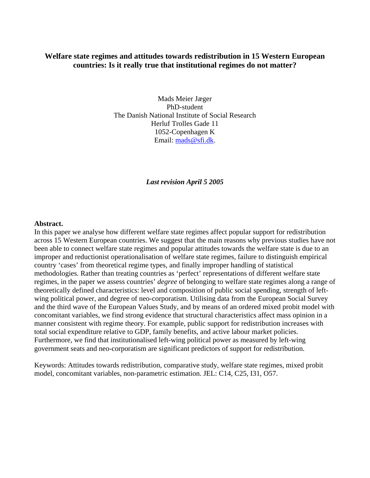# **Welfare state regimes and attitudes towards redistribution in 15 Western European countries: Is it really true that institutional regimes do not matter?**

Mads Meier Jæger PhD-student The Danish National Institute of Social Research Herluf Trolles Gade 11 1052-Copenhagen K Email: [mads@sfi.dk.](mailto:mads@sfi.dk)

*Last revision April 5 2005* 

### **Abstract.**

In this paper we analyse how different welfare state regimes affect popular support for redistribution across 15 Western European countries. We suggest that the main reasons why previous studies have not been able to connect welfare state regimes and popular attitudes towards the welfare state is due to an improper and reductionist operationalisation of welfare state regimes, failure to distinguish empirical country 'cases' from theoretical regime types, and finally improper handling of statistical methodologies. Rather than treating countries as 'perfect' representations of different welfare state regimes, in the paper we assess countries' *degree* of belonging to welfare state regimes along a range of theoretically defined characteristics: level and composition of public social spending, strength of leftwing political power, and degree of neo-corporatism. Utilising data from the European Social Survey and the third wave of the European Values Study, and by means of an ordered mixed probit model with concomitant variables, we find strong evidence that structural characteristics affect mass opinion in a manner consistent with regime theory. For example, public support for redistribution increases with total social expenditure relative to GDP, family benefits, and active labour market policies. Furthermore, we find that institutionalised left-wing political power as measured by left-wing government seats and neo-corporatism are significant predictors of support for redistribution.

Keywords: Attitudes towards redistribution, comparative study, welfare state regimes, mixed probit model, concomitant variables, non-parametric estimation. JEL: C14, C25, I31, O57.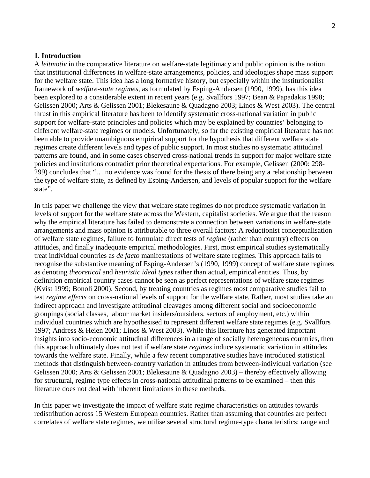#### **1. Introduction**

A *leitmotiv* in the comparative literature on welfare-state legitimacy and public opinion is the notion that institutional differences in welfare-state arrangements, policies, and ideologies shape mass support for the welfare state. This idea has a long formative history, but especially within the institutionalist framework of *welfare-state regimes*, as formulated by Esping-Andersen (1990, 1999), has this idea been explored to a considerable extent in recent years (e.g. Svallfors 1997; Bean & Papadakis 1998; Gelissen 2000; Arts & Gelissen 2001; Blekesaune & Quadagno 2003; Linos & West 2003). The central thrust in this empirical literature has been to identify systematic cross-national variation in public support for welfare-state principles and policies which may be explained by countries' belonging to different welfare-state regimes or models. Unfortunately, so far the existing empirical literature has not been able to provide unambiguous empirical support for the hypothesis that different welfare state regimes create different levels and types of public support. In most studies no systematic attitudinal patterns are found, and in some cases observed cross-national trends in support for major welfare state policies and institutions contradict prior theoretical expectations. For example, Gelissen (2000: 298- 299) concludes that "… no evidence was found for the thesis of there being any a relationship between the type of welfare state, as defined by Esping-Andersen, and levels of popular support for the welfare state".

In this paper we challenge the view that welfare state regimes do not produce systematic variation in levels of support for the welfare state across the Western, capitalist societies. We argue that the reason why the empirical literature has failed to demonstrate a connection between variations in welfare-state arrangements and mass opinion is attributable to three overall factors: A reductionist conceptualisation of welfare state regimes, failure to formulate direct tests of *regime* (rather than country) effects on attitudes, and finally inadequate empirical methodologies. First, most empirical studies systematically treat individual countries as *de facto* manifestations of welfare state regimes. This approach fails to recognise the substantive meaning of Esping-Andersen's (1990, 1999) concept of welfare state regimes as denoting *theoretical* and *heuristic ideal types* rather than actual, empirical entities. Thus, by definition empirical country cases cannot be seen as perfect representations of welfare state regimes (Kvist 1999; Bonoli 2000). Second, by treating countries as regimes most comparative studies fail to test *regime effects* on cross-national levels of support for the welfare state. Rather, most studies take an indirect approach and investigate attitudinal cleavages among different social and socioeconomic groupings (social classes, labour market insiders/outsiders, sectors of employment, etc.) within individual countries which are hypothesised to represent different welfare state regimes (e.g. Svallfors 1997; Andress & Heien 2001; Linos & West 2003). While this literature has generated important insights into socio-economic attitudinal differences in a range of socially heterogeneous countries, then this approach ultimately does not test if welfare state *regimes* induce systematic variation in attitudes towards the welfare state. Finally, while a few recent comparative studies have introduced statistical methods that distinguish between-country variation in attitudes from between-individual variation (see Gelissen 2000; Arts & Gelissen 2001; Blekesaune & Quadagno 2003) – thereby effectively allowing for structural, regime type effects in cross-national attitudinal patterns to be examined – then this literature does not deal with inherent limitations in these methods.

In this paper we investigate the impact of welfare state regime characteristics on attitudes towards redistribution across 15 Western European countries. Rather than assuming that countries are perfect correlates of welfare state regimes, we utilise several structural regime-type characteristics: range and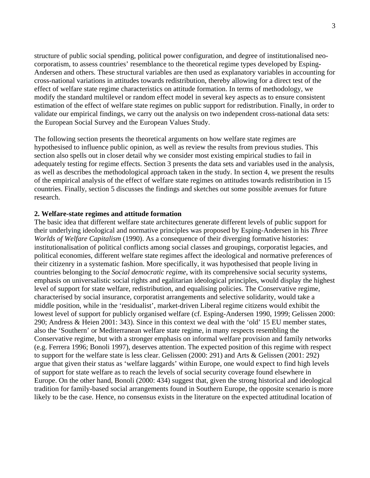structure of public social spending, political power configuration, and degree of institutionalised neocorporatism, to assess countries' resemblance to the theoretical regime types developed by Esping-Andersen and others. These structural variables are then used as explanatory variables in accounting for cross-national variations in attitudes towards redistribution, thereby allowing for a direct test of the effect of welfare state regime characteristics on attitude formation. In terms of methodology, we modify the standard multilevel or random effect model in several key aspects as to ensure consistent estimation of the effect of welfare state regimes on public support for redistribution. Finally, in order to validate our empirical findings, we carry out the analysis on two independent cross-national data sets: the European Social Survey and the European Values Study.

The following section presents the theoretical arguments on how welfare state regimes are hypothesised to influence public opinion, as well as review the results from previous studies. This section also spells out in closer detail why we consider most existing empirical studies to fail in adequately testing for regime effects. Section 3 presents the data sets and variables used in the analysis, as well as describes the methodological approach taken in the study. In section 4, we present the results of the empirical analysis of the effect of welfare state regimes on attitudes towards redistribution in 15 countries. Finally, section 5 discusses the findings and sketches out some possible avenues for future research.

### **2. Welfare-state regimes and attitude formation**

The basic idea that different welfare state architectures generate different levels of public support for their underlying ideological and normative principles was proposed by Esping-Andersen in his *Three Worlds of Welfare Capitalism* (1990). As a consequence of their diverging formative histories: institutionalisation of political conflicts among social classes and groupings, corporatist legacies, and political economies, different welfare state regimes affect the ideological and normative preferences of their citizenry in a systematic fashion. More specifically, it was hypothesised that people living in countries belonging to the *Social democratic regime*, with its comprehensive social security systems, emphasis on universalistic social rights and egalitarian ideological principles, would display the highest level of support for state welfare, redistribution, and equalising policies. The Conservative regime, characterised by social insurance, corporatist arrangements and selective solidarity, would take a middle position, while in the 'residualist', market-driven Liberal regime citizens would exhibit the lowest level of support for publicly organised welfare (cf. Esping-Andersen 1990, 1999; Gelissen 2000: 290; Andress & Heien 2001: 343). Since in this context we deal with the 'old' 15 EU member states, also the 'Southern' or Mediterranean welfare state regime, in many respects resembling the Conservative regime, but with a stronger emphasis on informal welfare provision and family networks (e.g. Ferrera 1996; Bonoli 1997), deserves attention. The expected position of this regime with respect to support for the welfare state is less clear. Gelissen (2000: 291) and Arts & Gelissen (2001: 292) argue that given their status as 'welfare laggards' within Europe, one would expect to find high levels of support for state welfare as to reach the levels of social security coverage found elsewhere in Europe. On the other hand, Bonoli (2000: 434) suggest that, given the strong historical and ideological tradition for family-based social arrangements found in Southern Europe, the opposite scenario is more likely to be the case. Hence, no consensus exists in the literature on the expected attitudinal location of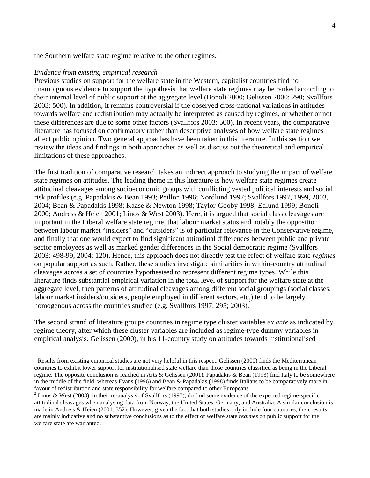the Southern welfare state regime relative to the other regimes.<sup>[1](#page-5-0)</sup>

#### *Evidence from existing empirical research*

 $\overline{a}$ 

Previous studies on support for the welfare state in the Western, capitalist countries find no unambiguous evidence to support the hypothesis that welfare state regimes may be ranked according to their internal level of public support at the aggregate level (Bonoli 2000; Gelissen 2000: 290; Svallfors 2003: 500). In addition, it remains controversial if the observed cross-national variations in attitudes towards welfare and redistribution may actually be interpreted as caused by regimes, or whether or not these differences are due to some other factors (Svallfors 2003: 500). In recent years, the comparative literature has focused on confirmatory rather than descriptive analyses of how welfare state regimes affect public opinion. Two general approaches have been taken in this literature. In this section we review the ideas and findings in both approaches as well as discuss out the theoretical and empirical limitations of these approaches.

The first tradition of comparative research takes an indirect approach to studying the impact of welfare state regimes on attitudes. The leading theme in this literature is how welfare state regimes create attitudinal cleavages among socioeconomic groups with conflicting vested political interests and social risk profiles (e.g. Papadakis & Bean 1993; Peillon 1996; Nordlund 1997; Svallfors 1997, 1999, 2003, 2004; Bean & Papadakis 1998; Kaase & Newton 1998; Taylor-Gooby 1998; Edlund 1999; Bonoli 2000; Andress & Heien 2001; Linos & West 2003). Here, it is argued that social class cleavages are important in the Liberal welfare state regime, that labour market status and notably the opposition between labour market "insiders" and "outsiders" is of particular relevance in the Conservative regime, and finally that one would expect to find significant attitudinal differences between public and private sector employees as well as marked gender differences in the Social democratic regime (Svallfors 2003: 498-99; 2004: 120). Hence, this approach does not directly test the effect of welfare state *regimes*  on popular support as such. Rather, these studies investigate similarities in within-country attitudinal cleavages across a set of countries hypothesised to represent different regime types. While this literature finds substantial empirical variation in the total level of support for the welfare state at the aggregate level, then patterns of attitudinal cleavages among different social groupings (social classes, labour market insiders/outsiders, people employed in different sectors, etc.) tend to be largely homogenous across the countries studied (e.g. Svallfors 1997: [2](#page-5-1)95; 2003).<sup>2</sup>

The second strand of literature groups countries in regime type cluster variables *ex ante* as indicated by regime theory, after which these cluster variables are included as regime-type dummy variables in empirical analysis. Gelissen (2000), in his 11-country study on attitudes towards institutionalised

<span id="page-5-0"></span> $1$  Results from existing empirical studies are not very helpful in this respect. Gelissen (2000) finds the Mediterranean countries to exhibit lower support for institutionalised state welfare than those countries classified as being in the Liberal regime. The opposite conclusion is reached in Arts & Gelissen (2001). Papadakis & Bean (1993) find Italy to be somewhere in the middle of the field, whereas Evans (1996) and Bean & Papadakis (1998) finds Italians to be comparatively more in favour of redistribution and state responsibility for welfare compared to other Europeans.

<span id="page-5-1"></span> $2$  Linos & West (2003), in their re-analysis of Svallfors (1997), do find some evidence of the expected regime-specific attitudinal cleavages when analysing data from Norway, the United States, Germany, and Australia. A similar conclusion is made in Andress & Heien (2001: 352). However, given the fact that both studies only include four countries, their results are mainly indicative and no substantive conclusions as to the effect of welfare state *regimes* on public support for the welfare state are warranted.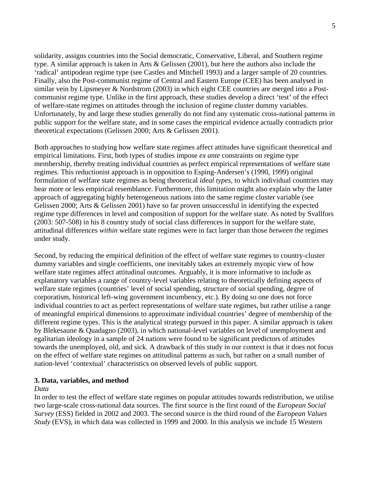solidarity, assigns countries into the Social democratic, Conservative, Liberal, and Southern regime type. A similar approach is taken in Arts & Gelissen (2001), but here the authors also include the 'radical' antipodean regime type (see Castles and Mitchell 1993) and a larger sample of 20 countries. Finally, also the Post-communist regime of Central and Eastern Europe (CEE) has been analysed in similar vein by Lipsmeyer & Nordstrom (2003) in which eight CEE countries are merged into a Postcommunist regime type. Unlike in the first approach, these studies develop a direct 'test' of the effect of welfare-state regimes on attitudes through the inclusion of regime cluster dummy variables. Unfortunately, by and large these studies generally do not find any systematic cross-national patterns in public support for the welfare state, and in some cases the empirical evidence actually contradicts prior theoretical expectations (Gelissen 2000; Arts & Gelissen 2001).

Both approaches to studying how welfare state regimes affect attitudes have significant theoretical and empirical limitations. First, both types of studies impose *ex ante* constraints on regime type membership, thereby treating individual countries as perfect empirical representations of welfare state regimes. This reductionist approach is in opposition to Esping-Andersen's (1990, 1999) original formulation of welfare state regimes as being theoretical *ideal types*, to which individual countries may bear more or less empirical resemblance. Furthermore, this limitation might also explain why the latter approach of aggregating highly heterogeneous nations into the same regime cluster variable (see Gelissen 2000; Arts & Gelissen 2001) have so far proven unsuccessful in identifying the expected regime type differences in level and composition of support for the welfare state. As noted by Svallfors (2003: 507-508) in his 8 country study of social class differences in support for the welfare state, attitudinal differences *within* welfare state regimes were in fact larger than those *between* the regimes under study.

Second, by reducing the empirical definition of the effect of welfare state regimes to country-cluster dummy variables and single coefficients, one inevitably takes an extremely myopic view of how welfare state regimes affect attitudinal outcomes. Arguably, it is more informative to include as explanatory variables a range of country-level variables relating to theoretically defining aspects of welfare state regimes (countries' level of social spending, structure of social spending, degree of corporatism, historical left-wing government incumbency, etc.). By doing so one does not force individual countries to act as perfect representations of welfare state regimes, but rather utilise a range of meaningful empirical dimensions to approximate individual countries' degree of membership of the different regime types. This is the analytical strategy pursued in this paper. A similar approach is taken by Blekesaune & Quadagno (2003), in which national-level variables on level of unemployment and egalitarian ideology in a sample of 24 nations were found to be significant predictors of attitudes towards the unemployed, old, and sick. A drawback of this study in our context is that it does not focus on the effect of welfare state regimes on attitudinal patterns as such, but rather on a small number of nation-level 'contextual' characteristics on observed levels of public support.

### **3. Data, variables, and method**

#### *Data*

In order to test the effect of welfare state regimes on popular attitudes towards redistribution, we utilise two large-scale cross-national data sources. The first source is the first round of the *European Social Survey* (ESS) fielded in 2002 and 2003. The second source is the third round of the *European Values Study* (EVS), in which data was collected in 1999 and 2000. In this analysis we include 15 Western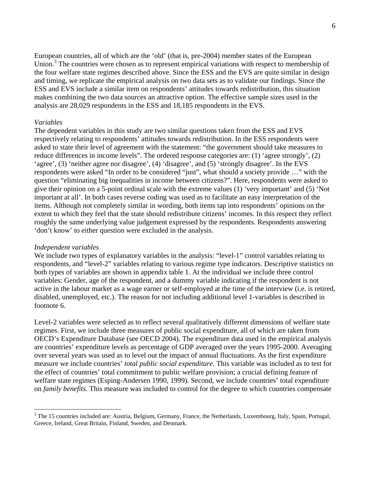European countries, all of which are the 'old' (that is, pre-2004) member states of the European Union.<sup>3</sup> [T](#page-7-0)he countries were chosen as to represent empirical variations with respect to membership of the four welfare state regimes described above. Since the ESS and the EVS are quite similar in design and timing, we replicate the empirical analysis on two data sets as to validate our findings. Since the ESS and EVS include a similar item on respondents' attitudes towards redistribution, this situation makes combining the two data sources an attractive option. The effective sample sizes used in the analysis are 28,029 respondents in the ESS and 18,185 respondents in the EVS.

### *Variables*

The dependent variables in this study are two similar questions taken from the ESS and EVS respectively relating to respondents' attitudes towards redistribution. In the ESS respondents were asked to state their level of agreement with the statement: "the government should take measures to reduce differences in income levels". The ordered response categories are: (1) 'agree strongly', (2) 'agree', (3) 'neither agree nor disagree', (4) 'disagree', and (5) 'strongly disagree'. In the EVS respondents were asked "In order to be considered "just", what should a society provide …" with the question "eliminating big inequalities in income between citizens?". Here, respondents were asked to give their opinion on a 5-point ordinal scale with the extreme values (1) 'very important' and (5) 'Not important at all'. In both cases reverse coding was used as to facilitate an easy interpretation of the items. Although not completely similar in wording, both items tap into respondents' opinions on the extent to which they feel that the state should redistribute citizens' incomes. In this respect they reflect roughly the same underlying value judgement expressed by the respondents. Respondents answering 'don't know' to either question were excluded in the analysis.

#### *Independent variables*

 $\overline{a}$ 

We include two types of explanatory variables in the analysis: "level-1" control variables relating to respondents, and "level-2" variables relating to various regime type indicators. Descriptive statistics on both types of variables are shown in appendix table 1. At the individual we include three control variables: Gender, age of the respondent, and a dummy variable indicating if the respondent is not active in the labour market as a wage earner or self-employed at the time of the interview (i.e. is retired, disabled, unemployed, etc.). The reason for not including additional level 1-variables is described in footnote 6.

Level-2 variables were selected as to reflect several qualitatively different dimensions of welfare state regimes. First, we include three measures of public social expenditure, all of which are taken from OECD's Expenditure Database (see OECD 2004). The expenditure data used in the empirical analysis are countries' expenditure levels as percentage of GDP averaged over the years 1995-2000. Averaging over several years was used as to level out the impact of annual fluctuations. As the first expenditure measure we include countries' *total public social expenditure*. This variable was included as to test for the effect of countries' total commitment to public welfare provision; a crucial defining feature of welfare state regimes (Esping-Andersen 1990, 1999). Second, we include countries' total expenditure on *family benefits*. This measure was included to control for the degree to which countries compensate

<span id="page-7-0"></span><sup>&</sup>lt;sup>3</sup> The 15 countries included are: Austria, Belgium, Germany, France, the Netherlands, Luxembourg, Italy, Spain, Portugal, Greece, Ireland, Great Britain, Finland, Sweden, and Denmark.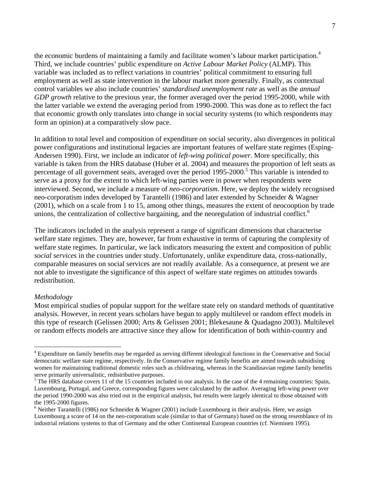the economic burdens of maintaining a family and facilitate women's labour market participation.<sup>[4](#page-8-0)</sup> Third, we include countries' public expenditure on *Active Labour Market Policy* (ALMP). This variable was included as to reflect variations in countries' political commitment to ensuring full employment as well as state intervention in the labour market more generally. Finally, as contextual control variables we also include countries' *standardised unemployment rate* as well as the *annual GDP growth* relative to the previous year, the former averaged over the period 1995-2000, while with the latter variable we extend the averaging period from 1990-2000. This was done as to reflect the fact that economic growth only translates into change in social security systems (to which respondents may form an opinion) at a comparatively slow pace.

In addition to total level and composition of expenditure on social security, also divergences in political power configurations and institutional legacies are important features of welfare state regimes (Esping-Andersen 1990). First, we include an indicator of *left-wing political power*. More specifically, this variable is taken from the HRS database (Huber et al. 2004) and measures the proportion of left seats as percentage of all government seats, averaged over the period 199[5](#page-8-1)-2000.<sup>5</sup> This variable is intended to serve as a proxy for the extent to which left-wing parties were in power when respondents were interviewed. Second, we include a measure of *neo-corporatism*. Here, we deploy the widely recognised neo-corporatism index developed by Tarantelli (1986) and later extended by Schneider & Wagner (2001), which on a scale from 1 to 15, among other things, measures the extent of neocooption by trade unions, the centralization of collective bargaining, and the neoregulation of industrial conflict.<sup>[6](#page-8-2)</sup>

The indicators included in the analysis represent a range of significant dimensions that characterise welfare state regimes. They are, however, far from exhaustive in terms of capturing the complexity of welfare state regimes. In particular, we lack indicators measuring the extent and composition of public *social services* in the countries under study. Unfortunately, unlike expenditure data, cross-nationally, comparable measures on social services are not readily available. As a consequence, at present we are not able to investigate the significance of this aspect of welfare state regimes on attitudes towards redistribution.

## *Methodology*

 $\overline{a}$ 

Most empirical studies of popular support for the welfare state rely on standard methods of quantitative analysis. However, in recent years scholars have begun to apply multilevel or random effect models in this type of research (Gelissen 2000; Arts & Gelissen 2001; Blekesaune & Quadagno 2003). Multilevel or random effects models are attractive since they allow for identification of both within-country and

<span id="page-8-0"></span><sup>&</sup>lt;sup>4</sup> Expenditure on family benefits may be regarded as serving different ideological functions in the Conservative and Social democratic welfare state regime, respectively. In the Conservative regime family benefits are aimed towards subsidising women for maintaining traditional domestic roles such as childrearing, whereas in the Scandinavian regime family benefits serve primarily universalistic, redistributive purposes.

<span id="page-8-1"></span> $<sup>5</sup>$  The HRS database covers 11 of the 15 countries included in our analysis. In the case of the 4 remaining countries: Spain,</sup> Luxembourg, Portugal, and Greece, corresponding figures were calculated by the author. Averaging left-wing power over the period 1990-2000 was also tried out in the empirical analysis, but results were largely identical to those obtained with the 1995-2000 figures.

<span id="page-8-2"></span><sup>&</sup>lt;sup>6</sup> Neither Tarantelli (1986) nor Schneider & Wagner (2001) include Luxembourg in their analysis. Here, we assign Luxembourg a score of 14 on the neo-corporatism scale (similar to that of Germany) based on the strong resemblance of its industrial relations systems to that of Germany and the other Continental European countries (cf. Nieminen 1995).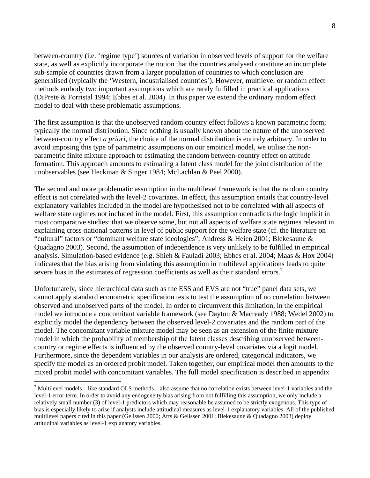between-country (i.e. 'regime type') sources of variation in observed levels of support for the welfare state, as well as explicitly incorporate the notion that the countries analysed constitute an incomplete sub-sample of countries drawn from a larger population of countries to which conclusion are generalised (typically the 'Western, industrialised countries'). However, multilevel or random effect methods embody two important assumptions which are rarely fulfilled in practical applications (DiPrete & Forristal 1994; Ebbes et al. 2004). In this paper we extend the ordinary random effect model to deal with these problematic assumptions.

The first assumption is that the unobserved random country effect follows a known parametric form; typically the normal distribution. Since nothing is usually known about the nature of the unobserved between-country effect *a priori*, the choice of the normal distribution is entirely arbitrary. In order to avoid imposing this type of parametric assumptions on our empirical model, we utilise the nonparametric finite mixture approach to estimating the random between-country effect on attitude formation. This approach amounts to estimating a latent class model for the joint distribution of the unobservables (see Heckman & Singer 1984; McLachlan & Peel 2000).

The second and more problematic assumption in the multilevel framework is that the random country effect is not correlated with the level-2 covariates. In effect, this assumption entails that country-level explanatory variables included in the model are hypothesised not to be correlated with all aspects of welfare state regimes not included in the model. First, this assumption contradicts the logic implicit in most comparative studies: that we observe some, but not all aspects of welfare state regimes relevant in explaining cross-national patterns in level of public support for the welfare state (cf. the literature on "cultural" factors or "dominant welfare state ideologies"; Andress & Heien 2001; Blekesaune & Quadagno 2003). Second, the assumption of independence is very unlikely to be fulfilled in empirical analysis. Simulation-based evidence (e.g. Shieh & Fauladi 2003; Ebbes et al. 2004; Maas & Hox 2004) indicates that the bias arising from violating this assumption in multilevel applications leads to quite severe bias in the estimates of regression coefficients as well as their standard errors.<sup>[7](#page-9-0)</sup>

Unfortunately, since hierarchical data such as the ESS and EVS are not "true" panel data sets, we cannot apply standard econometric specification tests to test the assumption of no correlation between observed and unobserved parts of the model. In order to circumvent this limitation, in the empirical model we introduce a concomitant variable framework (see Dayton & Macready 1988; Wedel 2002) to explicitly model the dependency between the observed level-2 covariates and the random part of the model. The concomitant variable mixture model may be seen as an extension of the finite mixture model in which the probability of membership of the latent classes describing unobserved betweencountry or regime effects is influenced by the observed country-level covariates via a logit model. Furthermore, since the dependent variables in our analysis are ordered, categorical indicators, we specify the model as an ordered probit model. Taken together, our empirical model then amounts to the mixed probit model with concomitant variables. The full model specification is described in appendix

 $\overline{a}$ 

<span id="page-9-0"></span><sup>&</sup>lt;sup>7</sup> Multilevel models – like standard OLS methods – also assume that no correlation exists between level-1 variables and the level-1 error term. In order to avoid any endogeneity bias arising from not fulfilling this assumption, we only include a relatively small number (3) of level-1 predictors which may reasonable be assumed to be strictly exogenous. This type of bias is especially likely to arise if analysts include attitudinal measures as level-1 explanatory variables. All of the published multilevel papers cited in this paper (Gelissen 2000; Arts & Gelissen 2001; Blekesaune & Quadagno 2003) deploy attitudinal variables as level-1 explanatory variables.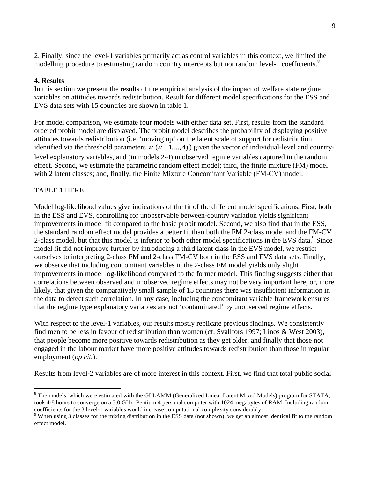2. Finally, since the level-1 variables primarily act as control variables in this context, we limited the modelling procedure to estimating random country intercepts but not random level-1 coefficients.<sup>[8](#page-10-0)</sup>

## **4. Results**

In this section we present the results of the empirical analysis of the impact of welfare state regime variables on attitudes towards redistribution. Result for different model specifications for the ESS and EVS data sets with 15 countries are shown in table 1.

For model comparison, we estimate four models with either data set. First, results from the standard ordered probit model are displayed. The probit model describes the probability of displaying positive attitudes towards redistribution (i.e. 'moving up' on the latent scale of support for redistribution identified via the threshold parameters  $\kappa$  ( $\kappa = 1, \dots, 4$ ) given the vector of individual-level and countrylevel explanatory variables, and (in models 2-4) unobserved regime variables captured in the random effect. Second, we estimate the parametric random effect model; third, the finite mixture (FM) model with 2 latent classes; and, finally, the Finite Mixture Concomitant Variable (FM-CV) model.

# TABLE 1 HERE

Model log-likelihood values give indications of the fit of the different model specifications. First, both in the ESS and EVS, controlling for unobservable between-country variation yields significant improvements in model fit compared to the basic probit model. Second, we also find that in the ESS, the standard random effect model provides a better fit than both the FM 2-class model and the FM-CV 2-class model, but that this model is inferior to both other model specifications in the EVS data. $9$  [S](#page-10-1)ince model fit did not improve further by introducing a third latent class in the EVS model, we restrict ourselves to interpreting 2-class FM and 2-class FM-CV both in the ESS and EVS data sets. Finally, we observe that including concomitant variables in the 2-class FM model yields only slight improvements in model log-likelihood compared to the former model. This finding suggests either that correlations between observed and unobserved regime effects may not be very important here, or, more likely, that given the comparatively small sample of 15 countries there was insufficient information in the data to detect such correlation. In any case, including the concomitant variable framework ensures that the regime type explanatory variables are not 'contaminated' by unobserved regime effects.

With respect to the level-1 variables, our results mostly replicate previous findings. We consistently find men to be less in favour of redistribution than women (cf. Svallfors 1997; Linos & West 2003), that people become more positive towards redistribution as they get older, and finally that those not engaged in the labour market have more positive attitudes towards redistribution than those in regular employment (*op cit.*).

Results from level-2 variables are of more interest in this context. First, we find that total public social

<span id="page-10-0"></span> <sup>8</sup> <sup>8</sup> The models, which were estimated with the GLLAMM (Generalized Linear Latent Mixed Models) program for STATA, took 4-8 hours to converge on a 3.0 GHz. Pentium 4 personal computer with 1024 megabytes of RAM. Including random coefficients for the 3 level-1 variables would increase computational complexity considerably.

<span id="page-10-1"></span><sup>&</sup>lt;sup>9</sup> When using 3 classes for the mixing distribution in the ESS data (not shown), we get an almost identical fit to the random effect model.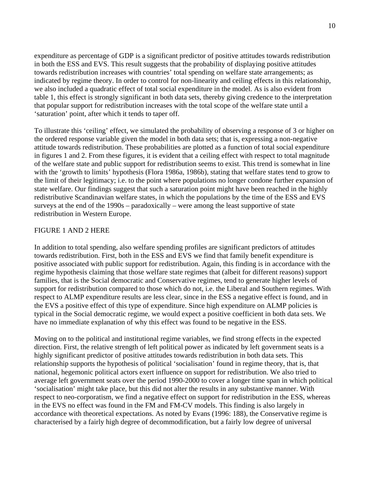expenditure as percentage of GDP is a significant predictor of positive attitudes towards redistribution in both the ESS and EVS. This result suggests that the probability of displaying positive attitudes towards redistribution increases with countries' total spending on welfare state arrangements; as indicated by regime theory. In order to control for non-linearity and ceiling effects in this relationship, we also included a quadratic effect of total social expenditure in the model. As is also evident from table 1, this effect is strongly significant in both data sets, thereby giving credence to the interpretation that popular support for redistribution increases with the total scope of the welfare state until a 'saturation' point, after which it tends to taper off.

To illustrate this 'ceiling' effect, we simulated the probability of observing a response of 3 or higher on the ordered response variable given the model in both data sets; that is, expressing a non-negative attitude towards redistribution. These probabilities are plotted as a function of total social expenditure in figures 1 and 2. From these figures, it is evident that a ceiling effect with respect to total magnitude of the welfare state and public support for redistribution seems to exist. This trend is somewhat in line with the 'growth to limits' hypothesis (Flora 1986a, 1986b), stating that welfare states tend to grow to the limit of their legitimacy; i.e. to the point where populations no longer condone further expansion of state welfare. Our findings suggest that such a saturation point might have been reached in the highly redistributive Scandinavian welfare states, in which the populations by the time of the ESS and EVS surveys at the end of the 1990s – paradoxically – were among the least supportive of state redistribution in Western Europe.

## FIGURE 1 AND 2 HERE

In addition to total spending, also welfare spending profiles are significant predictors of attitudes towards redistribution. First, both in the ESS and EVS we find that family benefit expenditure is positive associated with public support for redistribution. Again, this finding is in accordance with the regime hypothesis claiming that those welfare state regimes that (albeit for different reasons) support families, that is the Social democratic and Conservative regimes, tend to generate higher levels of support for redistribution compared to those which do not, i.e. the Liberal and Southern regimes. With respect to ALMP expenditure results are less clear, since in the ESS a negative effect is found, and in the EVS a positive effect of this type of expenditure. Since high expenditure on ALMP policies is typical in the Social democratic regime, we would expect a positive coefficient in both data sets. We have no immediate explanation of why this effect was found to be negative in the ESS.

Moving on to the political and institutional regime variables, we find strong effects in the expected direction. First, the relative strength of left political power as indicated by left government seats is a highly significant predictor of positive attitudes towards redistribution in both data sets. This relationship supports the hypothesis of political 'socialisation' found in regime theory, that is, that national, hegemonic political actors exert influence on support for redistribution. We also tried to average left government seats over the period 1990-2000 to cover a longer time span in which political 'socialisation' might take place, but this did not alter the results in any substantive manner. With respect to neo-corporatism, we find a negative effect on support for redistribution in the ESS, whereas in the EVS no effect was found in the FM and FM-CV models. This finding is also largely in accordance with theoretical expectations. As noted by Evans (1996: 188), the Conservative regime is characterised by a fairly high degree of decommodification, but a fairly low degree of universal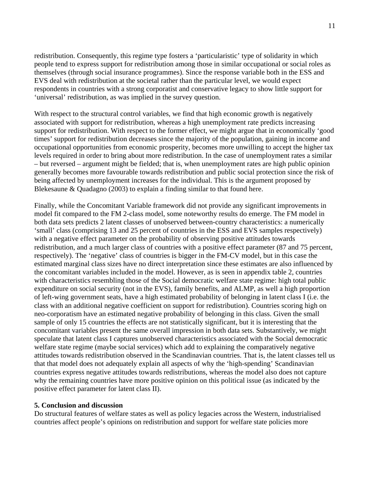redistribution. Consequently, this regime type fosters a 'particularistic' type of solidarity in which people tend to express support for redistribution among those in similar occupational or social roles as themselves (through social insurance programmes). Since the response variable both in the ESS and EVS deal with redistribution at the societal rather than the particular level, we would expect respondents in countries with a strong corporatist and conservative legacy to show little support for 'universal' redistribution, as was implied in the survey question.

With respect to the structural control variables, we find that high economic growth is negatively associated with support for redistribution, whereas a high unemployment rate predicts increasing support for redistribution. With respect to the former effect, we might argue that in economically 'good times' support for redistribution decreases since the majority of the population, gaining in income and occupational opportunities from economic prosperity, becomes more unwilling to accept the higher tax levels required in order to bring about more redistribution. In the case of unemployment rates a similar – but reversed – argument might be fielded; that is, when unemployment rates are high public opinion generally becomes more favourable towards redistribution and public social protection since the risk of being affected by unemployment increases for the individual. This is the argument proposed by Blekesaune & Quadagno (2003) to explain a finding similar to that found here.

Finally, while the Concomitant Variable framework did not provide any significant improvements in model fit compared to the FM 2-class model, some noteworthy results do emerge. The FM model in both data sets predicts 2 latent classes of unobserved between-country characteristics: a numerically 'small' class (comprising 13 and 25 percent of countries in the ESS and EVS samples respectively) with a negative effect parameter on the probability of observing positive attitudes towards redistribution, and a much larger class of countries with a positive effect parameter (87 and 75 percent, respectively). The 'negative' class of countries is bigger in the FM-CV model, but in this case the estimated marginal class sizes have no direct interpretation since these estimates are also influenced by the concomitant variables included in the model. However, as is seen in appendix table 2, countries with characteristics resembling those of the Social democratic welfare state regime: high total public expenditure on social security (not in the EVS), family benefits, and ALMP, as well a high proportion of left-wing government seats, have a high estimated probability of belonging in latent class I (i.e. the class with an additional negative coefficient on support for redistribution). Countries scoring high on neo-corporatism have an estimated negative probability of belonging in this class. Given the small sample of only 15 countries the effects are not statistically significant, but it is interesting that the concomitant variables present the same overall impression in both data sets. Substantively, we might speculate that latent class I captures unobserved characteristics associated with the Social democratic welfare state regime (maybe social services) which add to explaining the comparatively negative attitudes towards redistribution observed in the Scandinavian countries. That is, the latent classes tell us that that model does not adequately explain all aspects of why the 'high-spending' Scandinavian countries express negative attitudes towards redistributions, whereas the model also does not capture why the remaining countries have more positive opinion on this political issue (as indicated by the positive effect parameter for latent class II).

### **5. Conclusion and discussion**

Do structural features of welfare states as well as policy legacies across the Western, industrialised countries affect people's opinions on redistribution and support for welfare state policies more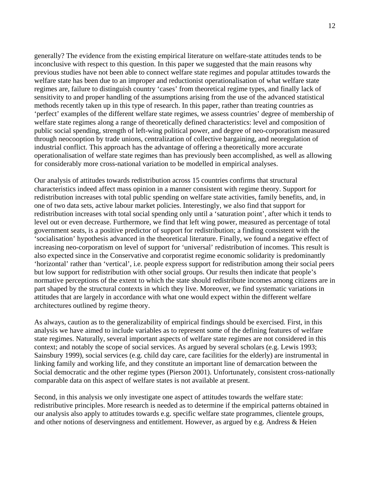generally? The evidence from the existing empirical literature on welfare-state attitudes tends to be inconclusive with respect to this question. In this paper we suggested that the main reasons why previous studies have not been able to connect welfare state regimes and popular attitudes towards the welfare state has been due to an improper and reductionist operationalisation of what welfare state regimes are, failure to distinguish country 'cases' from theoretical regime types, and finally lack of sensitivity to and proper handling of the assumptions arising from the use of the advanced statistical methods recently taken up in this type of research. In this paper, rather than treating countries as 'perfect' examples of the different welfare state regimes, we assess countries' degree of membership of welfare state regimes along a range of theoretically defined characteristics: level and composition of public social spending, strength of left-wing political power, and degree of neo-corporatism measured through neocooption by trade unions, centralization of collective bargaining, and neoregulation of industrial conflict. This approach has the advantage of offering a theoretically more accurate operationalisation of welfare state regimes than has previously been accomplished, as well as allowing for considerably more cross-national variation to be modelled in empirical analyses.

Our analysis of attitudes towards redistribution across 15 countries confirms that structural characteristics indeed affect mass opinion in a manner consistent with regime theory. Support for redistribution increases with total public spending on welfare state activities, family benefits, and, in one of two data sets, active labour market policies. Interestingly, we also find that support for redistribution increases with total social spending only until a 'saturation point', after which it tends to level out or even decrease. Furthermore, we find that left wing power, measured as percentage of total government seats, is a positive predictor of support for redistribution; a finding consistent with the 'socialisation' hypothesis advanced in the theoretical literature. Finally, we found a negative effect of increasing neo-corporatism on level of support for 'universal' redistribution of incomes. This result is also expected since in the Conservative and corporatist regime economic solidarity is predominantly 'horizontal' rather than 'vertical', i.e. people express support for redistribution among their social peers but low support for redistribution with other social groups. Our results then indicate that people's normative perceptions of the extent to which the state should redistribute incomes among citizens are in part shaped by the structural contexts in which they live. Moreover, we find systematic variations in attitudes that are largely in accordance with what one would expect within the different welfare architectures outlined by regime theory.

As always, caution as to the generalizability of empirical findings should be exercised. First, in this analysis we have aimed to include variables as to represent some of the defining features of welfare state regimes. Naturally, several important aspects of welfare state regimes are not considered in this context; and notably the scope of social services. As argued by several scholars (e.g. Lewis 1993; Sainsbury 1999), social services (e.g. child day care, care facilities for the elderly) are instrumental in linking family and working life, and they constitute an important line of demarcation between the Social democratic and the other regime types (Pierson 2001). Unfortunately, consistent cross-nationally comparable data on this aspect of welfare states is not available at present.

Second, in this analysis we only investigate one aspect of attitudes towards the welfare state: redistributive principles. More research is needed as to determine if the empirical patterns obtained in our analysis also apply to attitudes towards e.g. specific welfare state programmes, clientele groups, and other notions of deservingness and entitlement. However, as argued by e.g. Andress & Heien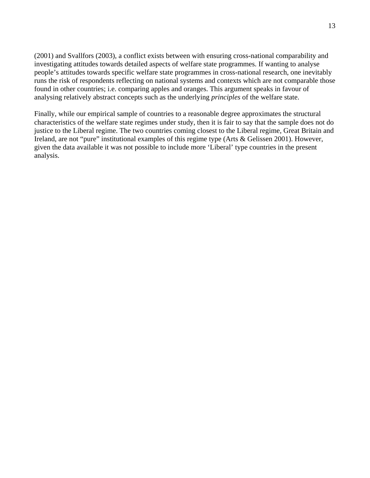(2001) and Svallfors (2003), a conflict exists between with ensuring cross-national comparability and investigating attitudes towards detailed aspects of welfare state programmes. If wanting to analyse people's attitudes towards specific welfare state programmes in cross-national research, one inevitably runs the risk of respondents reflecting on national systems and contexts which are not comparable those found in other countries; i.e. comparing apples and oranges. This argument speaks in favour of analysing relatively abstract concepts such as the underlying *principles* of the welfare state.

Finally, while our empirical sample of countries to a reasonable degree approximates the structural characteristics of the welfare state regimes under study, then it is fair to say that the sample does not do justice to the Liberal regime. The two countries coming closest to the Liberal regime, Great Britain and Ireland, are not "pure" institutional examples of this regime type (Arts & Gelissen 2001). However, given the data available it was not possible to include more 'Liberal' type countries in the present analysis.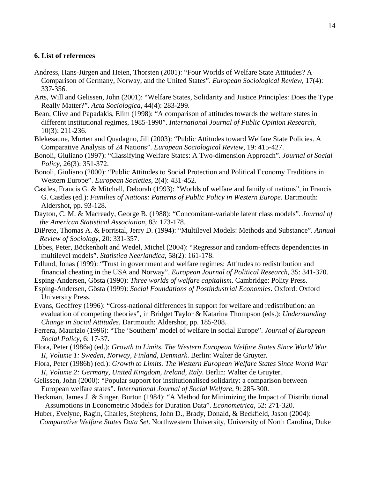### **6. List of references**

- Andress, Hans-Jürgen and Heien, Thorsten (2001): "Four Worlds of Welfare State Attitudes? A Comparison of Germany, Norway, and the United States". *European Sociological Review*, 17(4): 337-356.
- Arts, Will and Gelissen, John (2001): "Welfare States, Solidarity and Justice Principles: Does the Type Really Matter?". *Acta Sociologica*, 44(4): 283-299.
- Bean, Clive and Papadakis, Elim (1998): "A comparison of attitudes towards the welfare states in different institutional regimes, 1985-1990". *International Journal of Public Opinion Research*, 10(3): 211-236.
- Blekesaune, Morten and Quadagno, Jill (2003): "Public Attitudes toward Welfare State Policies. A Comparative Analysis of 24 Nations". *European Sociological Review*, 19: 415-427.
- Bonoli, Giuliano (1997): "Classifying Welfare States: A Two-dimension Approach". *Journal of Social Policy*, 26(3): 351-372.
- Bonoli, Giuliano (2000): "Public Attitudes to Social Protection and Political Economy Traditions in Western Europe". *European Societies*, 2(4): 431-452.
- Castles, Francis G. & Mitchell, Deborah (1993): "Worlds of welfare and family of nations", in Francis G. Castles (ed.): *Families of Nations: Patterns of Public Policy in Western Europe*. Dartmouth: Aldershot, pp. 93-128.
- Dayton, C. M. & Macready, George B. (1988): "Concomitant-variable latent class models". *Journal of the American Statistical Association*, 83: 173-178.
- DiPrete, Thomas A. & Forristal, Jerry D. (1994): "Multilevel Models: Methods and Substance". *Annual Review of Sociology*, 20: 331-357.
- Ebbes, Peter, Böckenholt and Wedel, Michel (2004): "Regressor and random-effects dependencies in multilevel models". *Statistica Neerlandica*, 58(2): 161-178.
- Edlund, Jonas (1999): "Trust in government and welfare regimes: Attitudes to redistribution and financial cheating in the USA and Norway". *European Journal of Political Research*, 35: 341-370.
- Esping-Andersen, Gösta (1990): *Three worlds of welfare capitalism*. Cambridge: Polity Press.
- Esping-Andersen, Gösta (1999): *Social Foundations of Postindustrial Economies*. Oxford: Oxford University Press.
- Evans, Geoffrey (1996): "Cross-national differences in support for welfare and redistribution: an evaluation of competing theories", in Bridget Taylor & Katarina Thompson (eds.): *Understanding Change in Social Attitudes*. Dartmouth: Aldershot, pp. 185-208.
- Ferrera, Maurizio (1996): "The 'Southern' model of welfare in social Europe". *Journal of European Social Policy*, 6: 17-37.
- Flora, Peter (1986a) (ed.): *Growth to Limits. The Western European Welfare States Since World War II, Volume 1: Sweden, Norway, Finland, Denmark*. Berlin: Walter de Gruyter.
- Flora, Peter (1986b) (ed.): *Growth to Limits. The Western European Welfare States Since World War II, Volume 2: Germany, United Kingdom, Ireland, Italy*. Berlin: Walter de Gruyter.
- Gelissen, John (2000): "Popular support for institutionalised solidarity: a comparison between European welfare states". *International Journal of Social Welfare*, 9: 285-300.
- Heckman, James J. & Singer, Burton (1984): "A Method for Minimizing the Impact of Distributional Assumptions in Econometric Models for Duration Data". *Econometrica,* 52: 271-320.
- Huber, Evelyne, Ragin, Charles, Stephens, John D., Brady, Donald, & Beckfield, Jason (2004): *Comparative Welfare States Data Set*. Northwestern University, University of North Carolina, Duke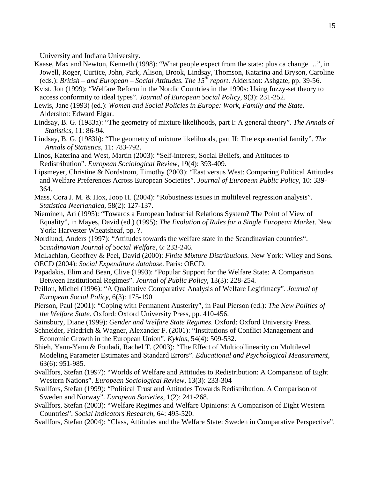University and Indiana University.

- Kaase, Max and Newton, Kenneth (1998): "What people expect from the state: plus ca change …", in Jowell, Roger, Curtice, John, Park, Alison, Brook, Lindsay, Thomson, Katarina and Bryson, Caroline (eds.): *British – and European – Social Attitudes. The*  $15^{th}$  *report.* Aldershot: Ashgate, pp. 39-56.
- Kvist, Jon (1999): "Welfare Reform in the Nordic Countries in the 1990s: Using fuzzy-set theory to access conformity to ideal types". *Journal of European Social Policy*, 9(3): 231-252.
- Lewis, Jane (1993) (ed.): *Women and Social Policies in Europe: Work, Family and the State*. Aldershot: Edward Elgar.
- Lindsay, B. G. (1983a): "The geometry of mixture likelihoods, part I: A general theory". *The Annals of Statistics,* 11: 86-94.
- Lindsay, B. G. (1983b): "The geometry of mixture likelihoods, part II: The exponential family". *The Annals of Statistics,* 11: 783-792.
- Linos, Katerina and West, Martin (2003): "Self-interest, Social Beliefs, and Attitudes to Redistribution". *European Sociological Review*, 19(4): 393-409.
- Lipsmeyer, Christine & Nordstrom, Timothy (2003): "East versus West: Comparing Political Attitudes and Welfare Preferences Across European Societies". *Journal of European Public Policy*, 10: 339- 364.
- Mass, Cora J. M. & Hox, Joop H. (2004): "Robustness issues in multilevel regression analysis". *Statistica Neerlandica*, 58(2): 127-137.
- Nieminen, Ari (1995): "Towards a European Industrial Relations System? The Point of View of Equality", in Mayes, David (ed.) (1995): *The Evolution of Rules for a Single European Market*. New York: Harvester Wheatsheaf, pp. ?.
- Nordlund, Anders (1997): "Attitudes towards the welfare state in the Scandinavian countries". *Scandinavian Journal of Social Welfare*, 6: 233-246.
- McLachlan, Geoffrey & Peel, David (2000): *Finite Mixture Distributions.* New York: Wiley and Sons. OECD (2004): *Social Expenditure database*. Paris: OECD.
- Papadakis, Elim and Bean, Clive (1993): "Popular Support for the Welfare State: A Comparison Between Institutional Regimes". *Journal of Public Policy*, 13(3): 228-254.
- Peillon, Michel (1996): "A Qualitative Comparative Analysis of Welfare Legitimacy". *Journal of European Social Policy*, 6(3): 175-190
- Pierson, Paul (2001): "Coping with Permanent Austerity", in Paul Pierson (ed.): *The New Politics of the Welfare State*. Oxford: Oxford University Press, pp. 410-456.
- Sainsbury, Diane (1999): *Gender and Welfare State Regimes*. Oxford: Oxford University Press.
- Schneider, Friedrich & Wagner, Alexander F. (2001): "Institutions of Conflict Management and Economic Growth in the European Union". *Kyklos*, 54(4): 509-532.
- Shieh, Yann-Yann & Fouladi, Rachel T. (2003): "The Effect of Multicollinearity on Multilevel Modeling Parameter Estimates and Standard Errors". *Educational and Psychological Measurement*, 63(6): 951-985.
- Svallfors, Stefan (1997): "Worlds of Welfare and Attitudes to Redistribution: A Comparison of Eight Western Nations". *European Sociological Review*, 13(3): 233-304
- Svallfors, Stefan (1999): "Political Trust and Attitudes Towards Redistribution. A Comparison of Sweden and Norway". *European Societies*, 1(2): 241-268.
- Svallfors, Stefan (2003): "Welfare Regimes and Welfare Opinions: A Comparison of Eight Western Countries". *Social Indicators Research*, 64: 495-520.
- Svallfors, Stefan (2004): "Class, Attitudes and the Welfare State: Sweden in Comparative Perspective".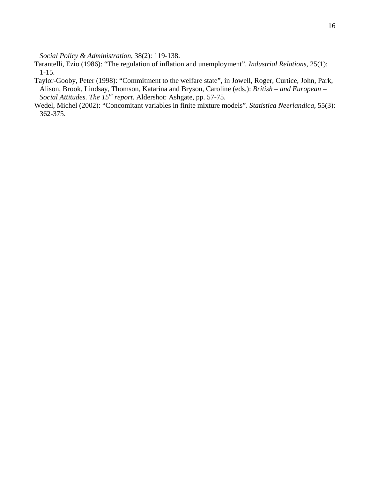*Social Policy & Administration*, 38(2): 119-138.

- Tarantelli, Ezio (1986): "The regulation of inflation and unemployment". *Industrial Relations*, 25(1): 1-15.
- Taylor-Gooby, Peter (1998): "Commitment to the welfare state", in Jowell, Roger, Curtice, John, Park, Alison, Brook, Lindsay, Thomson, Katarina and Bryson, Caroline (eds.): *British – and European – Social Attitudes. The 15th report*. Aldershot: Ashgate, pp. 57-75.
- Wedel, Michel (2002): "Concomitant variables in finite mixture models". *Statistica Neerlandica*, 55(3): 362-375.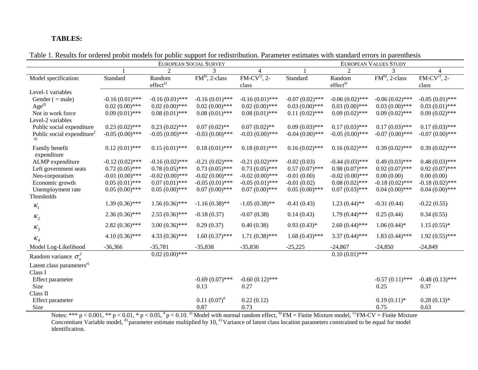## **TABLES:**

|                                           | EUROPEAN SOCIAL SURVEY |                      |                   | <b>EUROPEAN VALUES STUDY</b> |                   |                      |                   |                   |
|-------------------------------------------|------------------------|----------------------|-------------------|------------------------------|-------------------|----------------------|-------------------|-------------------|
|                                           |                        | $\mathcal{D}$        | $\mathcal{R}$     | $\overline{4}$               |                   | $\mathcal{D}$        |                   | $\overline{4}$    |
| Model specification:                      | Standard               | Random               | $FMb$ , 2-class   | $FM-CVc$ , 2-                | Standard          | Random               | $FMb$ , 2-class   | $FM-CVc$ , 2-     |
|                                           |                        | effect <sup>a)</sup> |                   | class                        |                   | effect <sup>a)</sup> |                   | class             |
| Level-1 variables                         |                        |                      |                   |                              |                   |                      |                   |                   |
| Gender $($ = male)                        | $-0.16(0.01)$ ***      | $-0.16(0.01)$ ***    | $-0.16(0.01)$ *** | $-0.16(0.01)$ ***            | $-0.07(0.02)$ *** | $-0.06(0.02)$ ***    | $-0.06(0.02)$ *** | $-0.05(0.01)$ *** |
| Age <sup>d)</sup>                         | $0.02(0.00)$ ***       | $0.02(0.00)$ ***     | $0.02(0.00)$ ***  | $0.02(0.00)$ ***             | $0.03(0.00)$ ***  | $0.03(0.00)$ ***     | $0.03(0.00)$ ***  | $0.03(0.01)$ ***  |
| Not in work force                         | $0.09(0.01)$ ***       | $0.08(0.01)$ ***     | $0.08(0.01)$ ***  | $0.08(0.01)$ ***             | $0.11(0.02)$ ***  | $0.09(0.02)$ ***     | $0.09(0.02)$ ***  | $0.09(0.02)$ ***  |
| Level-2 variables                         |                        |                      |                   |                              |                   |                      |                   |                   |
| Public social expenditure                 | $0.23(0.02)$ ***       | $0.23(0.02)$ ***     | $0.07(0.02)$ **   | $0.07(0.02)$ **              | $0.09(0.03)$ ***  | $0.17(0.03)$ ***     | $0.17(0.03)$ ***  | $0.17(0.03)$ ***  |
| Public social expenditure <sup>2</sup>    | $-0.05(0.00)$ ***      | $-0.05(0.00)$ ***    | $-0.03(0.00)$ *** | $-0.03(0.00)$ ***            | $-0.04(0.00)$ *** | $-0.05(0.00)$ ***    | $-0.07(0.00)$ *** | $-0.07(0.00)$ *** |
|                                           |                        |                      |                   |                              |                   |                      |                   |                   |
| Family benefit                            | $0.12(0.01)$ ***       | $0.15(0.01)$ ***     | $0.18(0.01)$ ***  | $0.18(0.01)$ ***             | $0.16(0.02)$ ***  | $0.16(0.02)$ ***     | $0.39(0.02)$ ***  | $0.39(0.02)$ ***  |
| expenditure                               | $-0.12(0.02)$ ***      | $-0.16(0.02)$ ***    | $-0.21(0.02)$ *** | $-0.21(0.02)$ ***            | $-0.02(0.03)$     | $-0.44(0.03)$ ***    | $0.49(0.03)$ ***  | $0.48(0.03)$ ***  |
| ALMP expenditure<br>Left government seats | $0.72(0.05)$ ***       | $0.78(0.05)$ ***     | $0.73(0.05)$ ***  | $0.73(0.05)$ ***             | $0.57(0.07)$ ***  | $0.98(0.07)$ ***     | $0.92(0.07)$ ***  | $0.92(0.07)$ ***  |
| Neo-corporatism                           | $-0.01(0.00)$ ***      | $-0.02(0.00)$ ***    | $-0.02(0.00)$ *** | $-0.02(0.00)$ ***            | $-0.01(0.00)$     | $-0.02(0.00)$ ***    | 0.00(0.00)        | 0.00(0.00)        |
| Economic growth                           | $0.05(0.01)$ ***       | $0.07(0.01)$ ***     | $-0.05(0.01)$ *** | $-0.05(0.01)$ ***            | $-0.01(0.02)$     | $0.08(0.02)$ ***     | $-0.18(0.02)$ *** | $-0.18(0.02)$ *** |
| Unemployment rate                         | $0.05(0.00)$ ***       | $0.05(0.00)$ ***     | $0.07(0.00)$ ***  | $0.07(0.00)$ ***             | $0.05(0.00)$ ***  | $0.07(0.03)$ ***     | $0.04(0.00)$ ***  | $0.04(0.00)$ ***  |
| Thresholds                                |                        |                      |                   |                              |                   |                      |                   |                   |
|                                           | $1.39(0.36)$ ***       | $1.56(0.36)$ ***     | $-1.16(0.38)$ **  | $-1.05(0.38)$ **             | $-0.41(0.43)$     | $1.23(0.44)$ **      | $-0.31(0.44)$     | $-0.22(0.55)$     |
| $K_1$                                     |                        |                      |                   |                              |                   |                      |                   |                   |
| $K_2$                                     | $2.36(0.36)$ ***       | $2.55(0.36)$ ***     | $-0.18(0.37)$     | $-0.07(0.38)$                | 0.14(0.43)        | $1.79(0.44)$ ***     | 0.25(0.44)        | 0.34(0.55)        |
| $K_3$                                     | $2.82(0.36)$ ***       | $3.00(0.36)$ ***     | 0.29(0.37)        | 0.40(0.38)                   | $0.93(0.43)*$     | $2.60(0.44)$ ***     | $1.06(0.44)$ *    | $1.15(0.55)*$     |
| $K_4$                                     | $4.10(0.36)$ ***       | $4.33(0.36)$ ***     | $1.60(0.37)$ ***  | $1.71(0.38)$ ***             | $1.68(0.43)$ ***  | $3.37(0.44)$ ***     | $1.83(0.44)$ ***  | $1.92(0.55)$ ***  |
| Model Log-Likelihood                      | $-36,366$              | $-35,781$            | $-35,838$         | $-35,836$                    | $-25,225$         | $-24,867$            | $-24,850$         | $-24,849$         |
| Random variance $\sigma_u^2$              |                        | $0.02(0.00)$ ***     |                   |                              |                   | $0.10(0.01)$ ***     |                   |                   |
| Latent class parameters <sup>e)</sup>     |                        |                      |                   |                              |                   |                      |                   |                   |
| Class I                                   |                        |                      |                   |                              |                   |                      |                   |                   |
| Effect parameter                          |                        |                      | $-0.69(0.07)$ *** | $-0.60(0.12)$ ***            |                   |                      | $-0.57(0.11)$ *** | $-0.48(0.13)$ *** |
| Size                                      |                        |                      | 0.13              | 0.27                         |                   |                      | 0.25              | 0.37              |
| Class II                                  |                        |                      |                   |                              |                   |                      |                   |                   |
| Effect parameter                          |                        |                      | $0.11(0.07)^{*}$  | 0.22(0.12)                   |                   |                      | $0.19(0.11)*$     | $0.28(0.13)*$     |
| Size                                      |                        |                      | 0.87              | 0.73                         |                   |                      | 0.75              | 0.63              |

Table 1. Results for ordered probit models for public support for redistribution. Parameter estimates with standard errors in parenthesis

Notes: \*\*\*  $p < 0.001$ , \*\*  $p < 0.01$ , \*  $p < 0.05$ ,  $\frac{h}{p} < 0.10$ . <sup>a)</sup> Model with normal random effect, <sup>b)</sup> FM = Finite Mixture model, <sup>c)</sup> FM-CV = Finite Mixture Concomitant Variable model,  $^{d)}$  parameter estimate multiplied by 10,  $^{e)}$  Variance of latent class location parameters constrained to be equal for model identification.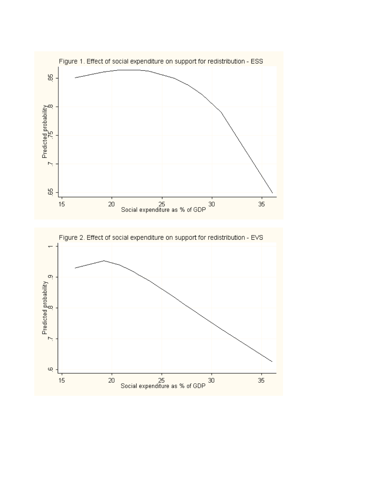

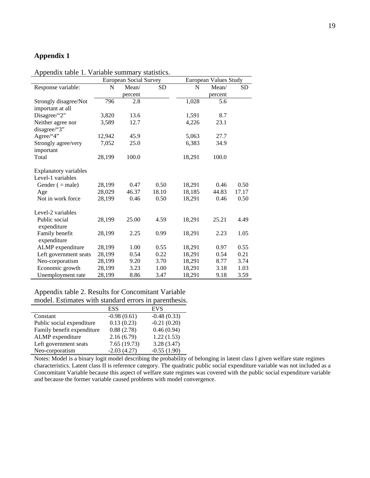# **Appendix 1**

# Appendix table 1. Variable summary statistics.

|                                   | European Social Survey |         | European Values Study |        |         |           |
|-----------------------------------|------------------------|---------|-----------------------|--------|---------|-----------|
| Response variable:                | N                      | Mean/   | <b>SD</b>             | N      | Mean/   | <b>SD</b> |
|                                   |                        | percent |                       |        | percent |           |
| Strongly disagree/Not             | 796                    | 2.8     |                       | 1,028  | 5.6     |           |
| important at all                  |                        |         |                       |        |         |           |
| Disagree/"2"                      | 3,820                  | 13.6    |                       | 1,591  | 8.7     |           |
| Neither agree nor<br>disagree/"3" | 3,589                  | 12.7    |                       | 4,226  | 23.1    |           |
| Agree/"4"                         | 12,942                 | 45.9    |                       | 5,063  | 27.7    |           |
| Strongly agree/very<br>important  | 7,052                  | 25.0    |                       | 6,383  | 34.9    |           |
| Total                             | 28,199                 | 100.0   |                       | 18,291 | 100.0   |           |
| <b>Explanatory variables</b>      |                        |         |                       |        |         |           |
| Level-1 variables                 |                        |         |                       |        |         |           |
| Gender $( = male)$                | 28,199                 | 0.47    | 0.50                  | 18,291 | 0.46    | 0.50      |
| Age                               | 28,029                 | 46.37   | 18.10                 | 18,185 | 44.83   | 17.17     |
| Not in work force                 | 28,199                 | 0.46    | 0.50                  | 18,291 | 0.46    | 0.50      |
| Level-2 variables                 |                        |         |                       |        |         |           |
| Public social<br>expenditure      | 28,199                 | 25.00   | 4.59                  | 18,291 | 25.21   | 4.49      |
| Family benefit<br>expenditure     | 28,199                 | 2.25    | 0.99                  | 18,291 | 2.23    | 1.05      |
| ALMP expenditure                  | 28,199                 | 1.00    | 0.55                  | 18,291 | 0.97    | 0.55      |
| Left government seats             | 28,199                 | 0.54    | 0.22                  | 18,291 | 0.54    | 0.21      |
| Neo-corporatism                   | 28,199                 | 9.20    | 3.70                  | 18,291 | 8.77    | 3.74      |
| Economic growth                   | 28,199                 | 3.23    | 1.00                  | 18,291 | 3.18    | 1.03      |
| Unemployment rate                 | 28,199                 | 8.86    | 3.47                  | 18,291 | 9.18    | 3.59      |

# Appendix table 2. Results for Concomitant Variable model. Estimates with standard errors in parenthesis.

|                            | <b>ESS</b>    | <b>EVS</b>    |
|----------------------------|---------------|---------------|
| Constant                   | $-0.98(0.61)$ | $-0.48(0.33)$ |
| Public social expenditure  | 0.13(0.23)    | $-0.21(0.20)$ |
| Family benefit expenditure | 0.88(2.78)    | 0.46(0.94)    |
| ALMP expenditure           | 2.16(6.79)    | 1.22(1.53)    |
| Left government seats      | 7.65(19.73)   | 3.28(3.47)    |
| Neo-corporatism            | $-2.03(4.27)$ | $-0.55(1.90)$ |

Notes: Model is a binary logit model describing the probability of belonging in latent class I given welfare state regimes characteristics. Latent class II is reference category. The quadratic public social expenditure variable was not included as a Concomitant Variable because this aspect of welfare state regimes was covered with the public social expenditure variable and because the former variable caused problems with model convergence.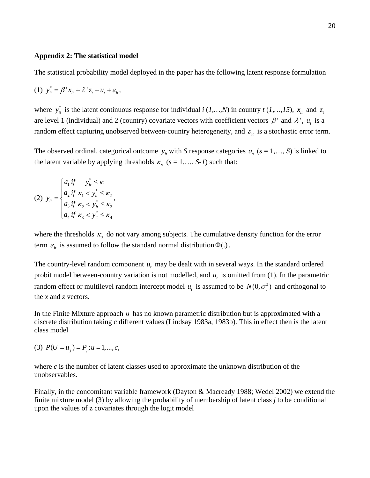#### **Appendix 2: The statistical model**

The statistical probability model deployed in the paper has the following latent response formulation

(1) 
$$
y_{it}^* = \beta' x_{it} + \lambda' z_t + u_t + \varepsilon_{it}
$$
,

where  $y_{it}^{*}$  is the latent continuous response for individual *i* (*1,…,N*) in country *t* (*1,…,15*),  $x_{it}$  and  $z_{it}$ are level 1 (individual) and 2 (country) covariate vectors with coefficient vectors  $\beta$  and  $\lambda$ ,  $u_t$  is a random effect capturing unobserved between-country heterogeneity, and  $\varepsilon$ <sub>*it*</sub> is a stochastic error term.

The observed ordinal, categorical outcome  $y_i$  with *S* response categories  $a_i$  ( $s = 1,..., S$ ) is linked to the latent variable by applying thresholds  $\kappa_s$  ( $s = 1,..., S$ -*I*) such that:

$$
(2) \ y_{it} = \begin{cases} a_{1} \text{ if } & y_{it}^{*} \leq \kappa_{1} \\ a_{2} \text{ if } \kappa_{1} < y_{it}^{*} \leq \kappa_{2} \\ a_{3} \text{ if } \kappa_{2} < y_{it}^{*} \leq \kappa_{3} \\ a_{4} \text{ if } \kappa_{3} < y_{it}^{*} \leq \kappa_{4} \end{cases}
$$

where the thresholds  $\kappa<sub>s</sub>$  do not vary among subjects. The cumulative density function for the error term  $\varepsilon$ <sub>*it*</sub> is assumed to follow the standard normal distribution  $\Phi(.)$ .

The country-level random component  $u_t$  may be dealt with in several ways. In the standard ordered probit model between-country variation is not modelled, and  $u_t$  is omitted from (1). In the parametric random effect or multilevel random intercept model  $u_t$  is assumed to be  $N(0, \sigma_u^2)$  and orthogonal to the *x* and *z* vectors.

In the Finite Mixture approach *u* has no known parametric distribution but is approximated with a discrete distribution taking *c* different values (Lindsay 1983a, 1983b). This in effect then is the latent class model

(3)  $P(U = u_i) = P_i$ ;  $u = 1, ..., c$ ,

where *c* is the number of latent classes used to approximate the unknown distribution of the unobservables.

Finally, in the concomitant variable framework (Dayton & Macready 1988; Wedel 2002) we extend the finite mixture model (3) by allowing the probability of membership of latent class *j* to be conditional upon the values of z covariates through the logit model